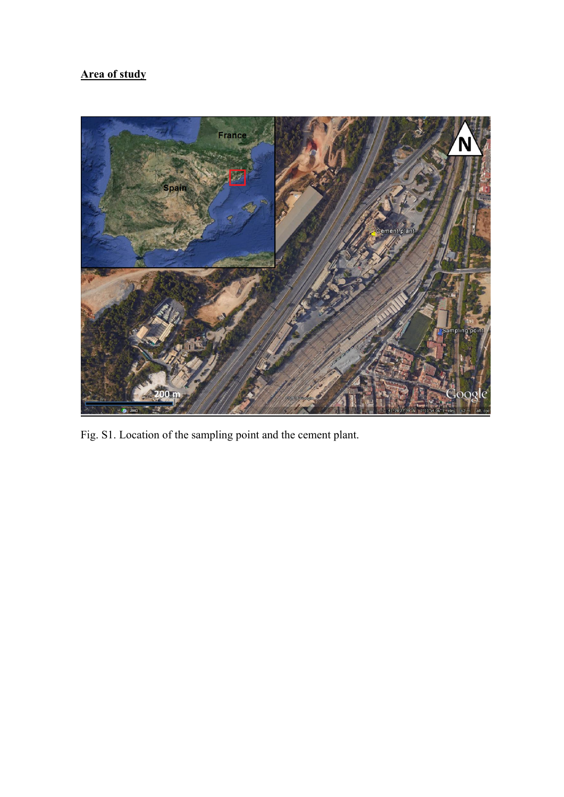## **Area of study**



Fig. S1. Location of the sampling point and the cement plant.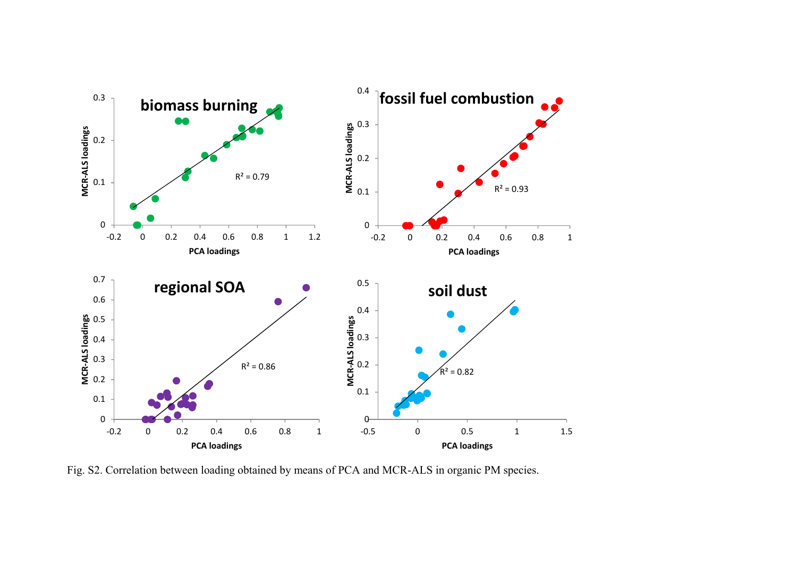

Fig. S2. Correlation between loading obtained by means of PCA and MCR-ALS in organic PM species.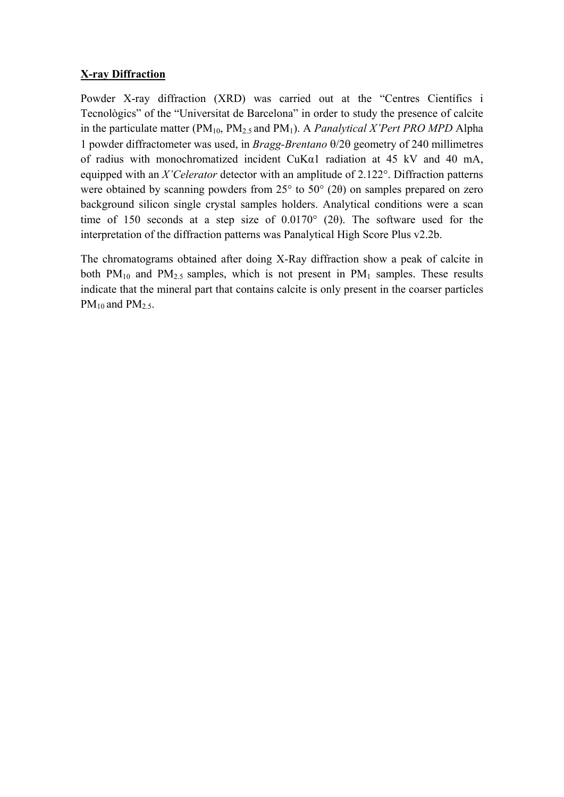## **X-ray Diffraction**

Powder X-ray diffraction (XRD) was carried out at the "Centres Científics in Tecnològics" of the "Universitat de Barcelona" in order to study the presence of calcite in the particulate matter (PM10, PM2.5 and PM1). A *Panalytical X'Pert PRO MPD* Alpha 1 powder diffractometer was used, in *Bragg-Brentano*  $\theta$ /2 $\theta$  geometry of 240 millimetres of radius with monochromatized incident CuKα1 radiation at 45 kV and 40 mA, equipped with an *X'Celerator* detector with an amplitude of 2.122°. Diffraction patterns were obtained by scanning powders from 25° to 50° (2θ) on samples prepared on zero background silicon single crystal samples holders. Analytical conditions were a scan time of 150 seconds at a step size of 0.0170° (2θ). The software used for the interpretation of the diffraction patterns was Panalytical High Score Plus v2.2b.

The chromatograms obtained after doing X-Ray diffraction show a peak of calcite in both  $PM_{10}$  and  $PM_{2.5}$  samples, which is not present in  $PM_1$  samples. These results indicate that the mineral part that contains calcite is only present in the coarser particles  $PM_{10}$  and  $PM_{2.5}$ .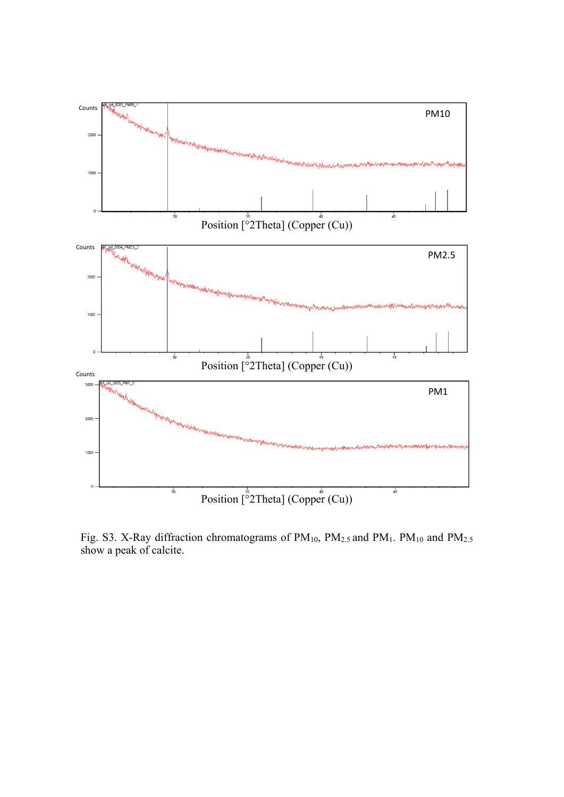

Fig. S3. X-Ray diffraction chromatograms of  $PM_{10}$ ,  $PM_{2.5}$  and  $PM_1$ .  $PM_{10}$  and  $PM_{2.5}$ show a peak of calcite.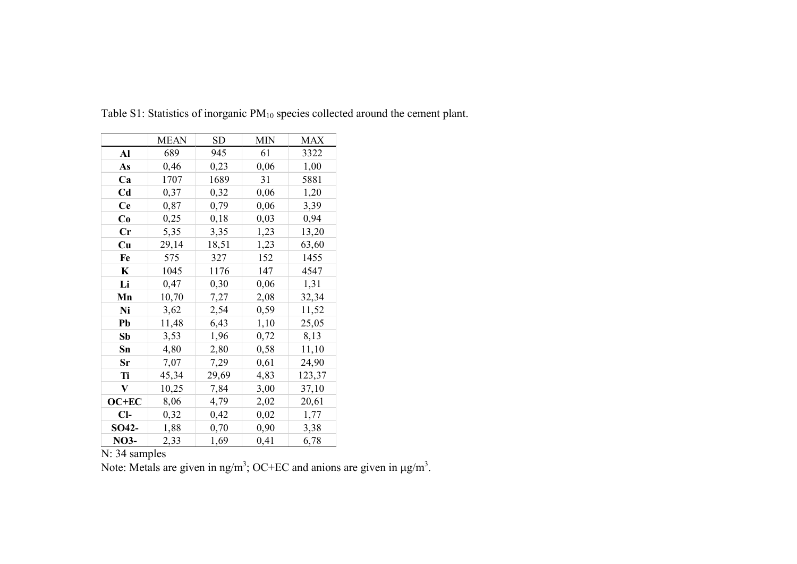|                | <b>MEAN</b> | <b>SD</b> | <b>MIN</b> | <b>MAX</b> |
|----------------|-------------|-----------|------------|------------|
| Al             | 689         | 945       | 61         | 3322       |
| As             | 0,46        | 0,23      | 0,06       | 1,00       |
| Ca             | 1707        | 1689      | 31         | 5881       |
| C <sub>d</sub> | 0,37        | 0,32      | 0,06       | 1,20       |
| <b>Ce</b>      | 0,87        | 0,79      | 0,06       | 3,39       |
| Co             | 0,25        | 0,18      | 0,03       | 0,94       |
| Cr             | 5,35        | 3,35      | 1,23       | 13,20      |
| Cu             | 29,14       | 18,51     | 1,23       | 63,60      |
| Fe             | 575         | 327       | 152        | 1455       |
| K              | 1045        | 1176      | 147        | 4547       |
| Li             | 0,47        | 0,30      | 0,06       | 1,31       |
| Mn             | 10,70       | 7,27      | 2,08       | 32,34      |
| Ni             | 3,62        | 2,54      | 0,59       | 11,52      |
| Pb             | 11,48       | 6,43      | 1,10       | 25,05      |
| Sb             | 3,53        | 1,96      | 0,72       | 8,13       |
| Sn             | 4,80        | 2,80      | 0,58       | 11,10      |
| Sr             | 7,07        | 7,29      | 0,61       | 24,90      |
| Ti             | 45,34       | 29,69     | 4,83       | 123,37     |
| V              | 10,25       | 7,84      | 3,00       | 37,10      |
| OC+EC          | 8,06        | 4,79      | 2,02       | 20,61      |
| $Cl-$          | 0,32        | 0,42      | 0,02       | 1,77       |
| SO42-          | 1,88        | 0,70      | 0,90       | 3,38       |
| <b>NO3-</b>    | 2,33        | 1,69      | 0,41       | 6,78       |

Table S1: Statistics of inorganic PM<sub>10</sub> species collected around the cement plant.

N: 34 samples

Note: Metals are given in ng/m<sup>3</sup>; OC+EC and anions are given in  $\mu$ g/m<sup>3</sup>.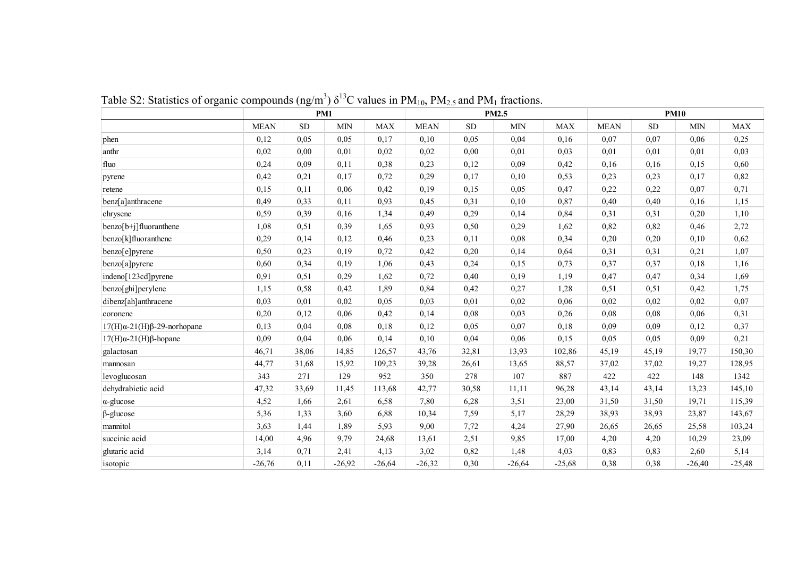|                                        |             |           | PM1        |            |             |           | PM2.5      |            | <b>PM10</b> |           |            |            |  |  |  |
|----------------------------------------|-------------|-----------|------------|------------|-------------|-----------|------------|------------|-------------|-----------|------------|------------|--|--|--|
|                                        | <b>MEAN</b> | <b>SD</b> | <b>MIN</b> | <b>MAX</b> | <b>MEAN</b> | <b>SD</b> | <b>MIN</b> | <b>MAX</b> | <b>MEAN</b> | <b>SD</b> | <b>MIN</b> | <b>MAX</b> |  |  |  |
| phen                                   | 0,12        | 0,05      | 0,05       | 0,17       | 0,10        | 0,05      | 0,04       | 0,16       | 0,07        | 0,07      | 0,06       | 0,25       |  |  |  |
| anthr                                  | 0,02        | 0,00      | 0,01       | 0.02       | 0,02        | 0,00      | 0,01       | 0,03       | 0,01        | 0,01      | 0,01       | 0,03       |  |  |  |
| fluo                                   | 0,24        | 0,09      | 0,11       | 0,38       | 0,23        | 0,12      | 0,09       | 0,42       | 0,16        | 0,16      | 0,15       | 0,60       |  |  |  |
| pyrene                                 | 0,42        | 0,21      | 0,17       | 0,72       | 0,29        | 0,17      | 0,10       | 0,53       | 0,23        | 0,23      | 0,17       | 0,82       |  |  |  |
| retene                                 | 0,15        | 0,11      | 0,06       | 0,42       | 0,19        | 0,15      | 0,05       | 0,47       | 0,22        | 0,22      | 0,07       | 0,71       |  |  |  |
| benz[a]anthracene                      | 0,49        | 0,33      | 0,11       | 0,93       | 0,45        | 0,31      | 0,10       | 0,87       | 0,40        | 0,40      | 0,16       | 1,15       |  |  |  |
| chrysene                               | 0,59        | 0,39      | 0,16       | 1,34       | 0,49        | 0,29      | 0,14       | 0,84       | 0,31        | 0,31      | 0,20       | 1,10       |  |  |  |
| benzo[b+j]fluoranthene                 | 1,08        | 0,51      | 0,39       | 1,65       | 0,93        | 0,50      | 0,29       | 1,62       | 0,82        | 0,82      | 0,46       | 2,72       |  |  |  |
| benzo[k]fluoranthene                   | 0,29        | 0,14      | 0,12       | 0,46       | 0,23        | 0,11      | 0,08       | 0,34       | 0,20        | 0,20      | 0,10       | 0,62       |  |  |  |
| benzo[e]pyrene                         | 0,50        | 0,23      | 0,19       | 0,72       | 0,42        | 0,20      | 0,14       | 0,64       | 0,31        | 0,31      | 0,21       | 1,07       |  |  |  |
| benzo[a]pyrene                         | 0,60        | 0,34      | 0,19       | 1,06       | 0,43        | 0,24      | 0,15       | 0,73       | 0,37        | 0,37      | 0,18       | 1,16       |  |  |  |
| indeno[123cd]pyrene                    | 0,91        | 0,51      | 0,29       | 1,62       | 0,72        | 0,40      | 0,19       | 1,19       | 0,47        | 0,47      | 0,34       | 1,69       |  |  |  |
| benzo[ghi]perylene                     | 1,15        | 0,58      | 0,42       | 1,89       | 0,84        | 0,42      | 0,27       | 1,28       | 0,51        | 0,51      | 0,42       | 1,75       |  |  |  |
| dibenz[ah]anthracene                   | 0,03        | 0,01      | 0,02       | 0,05       | 0,03        | 0,01      | 0,02       | 0,06       | 0,02        | 0,02      | 0,02       | 0,07       |  |  |  |
| coronene                               | 0,20        | 0,12      | 0,06       | 0,42       | 0,14        | 0,08      | 0,03       | 0,26       | 0,08        | 0,08      | 0,06       | 0,31       |  |  |  |
| $17(H)\alpha-21(H)\beta-29$ -norhopane | 0,13        | 0,04      | 0.08       | 0.18       | 0,12        | 0,05      | 0,07       | 0,18       | 0,09        | 0,09      | 0,12       | 0,37       |  |  |  |
| $17(H)\alpha - 21(H)\beta$ -hopane     | 0,09        | 0,04      | 0,06       | 0,14       | 0,10        | 0,04      | 0,06       | 0,15       | 0,05        | 0,05      | 0,09       | 0,21       |  |  |  |
| galactosan                             | 46,71       | 38,06     | 14,85      | 126,57     | 43,76       | 32,81     | 13,93      | 102,86     | 45,19       | 45,19     | 19,77      | 150,30     |  |  |  |
| mannosan                               | 44,77       | 31,68     | 15,92      | 109,23     | 39,28       | 26,61     | 13,65      | 88,57      | 37,02       | 37,02     | 19,27      | 128,95     |  |  |  |
| levoglucosan                           | 343         | 271       | 129        | 952        | 350         | 278       | 107        | 887        | 422         | 422       | 148        | 1342       |  |  |  |
| dehydrabietic acid                     | 47,32       | 33,69     | 11,45      | 113,68     | 42,77       | 30,58     | 11,11      | 96,28      | 43,14       | 43,14     | 13,23      | 145,10     |  |  |  |
| $\alpha$ -glucose                      | 4,52        | 1,66      | 2,61       | 6,58       | 7,80        | 6,28      | 3,51       | 23,00      | 31,50       | 31,50     | 19,71      | 115,39     |  |  |  |
| $\beta$ -glucose                       | 5,36        | 1,33      | 3,60       | 6,88       | 10,34       | 7,59      | 5,17       | 28,29      | 38,93       | 38,93     | 23,87      | 143,67     |  |  |  |
| mannitol                               | 3,63        | 1,44      | 1,89       | 5,93       | 9,00        | 7,72      | 4,24       | 27,90      | 26,65       | 26,65     | 25,58      | 103,24     |  |  |  |
| succinic acid                          | 14,00       | 4,96      | 9,79       | 24,68      | 13,61       | 2,51      | 9,85       | 17,00      | 4,20        | 4,20      | 10,29      | 23,09      |  |  |  |
| glutaric acid                          | 3,14        | 0,71      | 2,41       | 4,13       | 3,02        | 0,82      | 1,48       | 4,03       | 0,83        | 0,83      | 2,60       | 5,14       |  |  |  |
| isotopic                               | $-26,76$    | 0,11      | $-26,92$   | $-26,64$   | $-26,32$    | 0,30      | $-26,64$   | $-25,68$   | 0,38        | 0,38      | $-26,40$   | $-25,48$   |  |  |  |

Table S2: Statistics of organic compounds  $(ng/m^3) \delta^{13}C$  values in PM<sub>10</sub>, PM<sub>2.5</sub> and PM<sub>1</sub> fractions.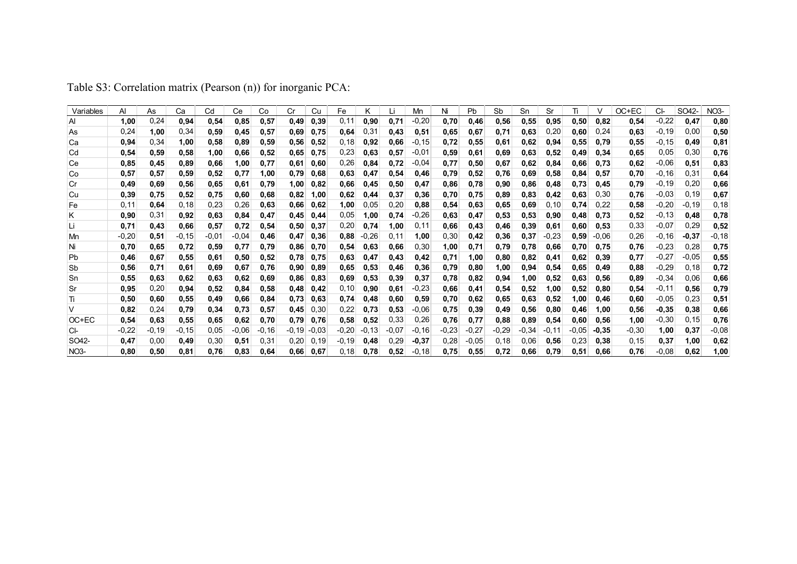| Variables   | Al      | As      | Сa      | Cd      | Ce      | Co      | Cr      | Cu      | Fe      |          |         | Mn      |         | <b>Pb</b> | Sb      | Sn      | Sr      | Ti      |       | OC+EC   | CI-      | SO42-    | <b>NO3-</b> |
|-------------|---------|---------|---------|---------|---------|---------|---------|---------|---------|----------|---------|---------|---------|-----------|---------|---------|---------|---------|-------|---------|----------|----------|-------------|
| Al          | 1,00    | 0,24    | 0,94    | 0,54    | 0,85    | 0,57    | 0,49    | 0,39    | 0,11    | 0,90     | 0.71    | $-0,20$ | 0,70    | 0,46      | 0,56    | 0,55    | 0,95    | 0,50    | 0,82  | 0,54    | $-0,22$  | 0,47     | 0,80        |
| As          | 0,24    | 1,00    | 0,34    | 0,59    | 0,45    | 0,57    | 0,69    | 0,75    | 0,64    | 0,31     | 0,43    | 0,51    | 0,65    | 0,67      | 0,71    | 0,63    | 0,20    | 0,60    | 0.24  | 0,63    | $-0,19$  | 0,00     | 0,50        |
| Ca          | 0,94    | 0,34    | 1,00    | 0,58    | 0,89    | 0,59    | 0,56    | 0,52    | 0,18    | 0,92     | 0,66    | $-0.15$ | 0,72    | 0,55      | 0,61    | 0,62    | 0,94    | 0,55    | 0.79  | 0,55    | $-0, 15$ | 0,49     | 0,81        |
| Cd          | 0,54    | 0,59    | 0,58    | 1,00    | 0,66    | 0,52    | 0,65    | 0,75    | 0,23    | 0,63     | 0,57    | $-0,01$ | 0,59    | 0,61      | 0,69    | 0.63    | 0,52    | 0,49    | 0,34  | 0,65    | 0,05     | 0,30     | 0,76        |
| Ce          | 0,85    | 0.45    | 0,89    | 0,66    | 1,00    | 0.77    | 0,61    | 0,60    | 0,26    | 0,84     | 0,72    | $-0,04$ | 0,77    | 0,50      | 0.67    | 0,62    | 0,84    | 0,66    | 0,73  | 0,62    | $-0,06$  | 0,51     | 0,83        |
| Co          | 0,57    | 0,57    | 0,59    | 0,52    | 0,77    | 1.00    | 0.79    | 0,68    | 0,63    | 0,47     | 0,54    | 0,46    | 0,79    | 0,52      | 0,76    | 0,69    | 0,58    | 0,84    | 0.57  | 0,70    | $-0, 16$ | 0,31     | 0.64        |
| Cr          | 0,49    | 0,69    | 0,56    | 0,65    | 0,61    | 0.79    | 1.00    | 0,82    | 0,66    | 0,45     | 0,50    | 0,47    | 0.86    | 0,78      | 0,90    | 0,86    | 0,48    | 0,73    | 0.45  | 0,79    | $-0,19$  | 0,20     | 0,66        |
| <b>Cu</b>   | 0,39    | 0,75    | 0,52    | 0,75    | 0,60    | 0,68    | 0,82    | 1,00    | 0,62    | 0,44     | 0,37    | 0,36    | 0,70    | 0,75      | 0.89    | 0,83    | 0,42    | 0,63    | 0,30  | 0,76    | $-0.03$  | 0, 19    | 0,67        |
| Fe          | 0.11    | 0,64    | 0,18    | 0,23    | 0,26    | 0,63    | 0,66    | 0,62    | 1,00    | 0,05     | 0,20    | 0,88    | 0,54    | 0,63      | 0,65    | 0,69    | 0,10    | 0,74    | 0,22  | 0,58    | $-0,20$  | $-0, 19$ | 0, 18       |
| Κ           | 0,90    | 0,31    | 0,92    | 0,63    | 0,84    | 0,47    | 0.45    | 0,44    | 0,05    | 1,00     | 0,74    | $-0,26$ | 0.63    | 0,47      | 0,53    | 0,53    | 0,90    | 0,48    | 0,73  | 0,52    | $-0, 13$ | 0,48     | 0,78        |
| Li          | 0,71    | 0,43    | 0,66    | 0,57    | 0,72    | 0,54    | 0,50    | 0,37    | 0,20    | 0,74     | 1,00    | 0,11    | 0,66    | 0,43      | 0,46    | 0,39    | 0,61    | 0,60    | 0,53  | 0,33    | $-0,07$  | 0,29     | 0,52        |
| Mn          | $-0,20$ | 0,51    | $-0.15$ | $-0.01$ | $-0.04$ | 0,46    | 0,47    | 0,36    | 0,88    | -0,26    | 0,11    | 1,00    | 0,30    | 0,42      | 0,36    | 0,37    | $-0,23$ | 0,59    | -0.06 | 0,26    | $-0,16$  | $-0,37$  | -0,18       |
| Ni          | 0.70    | 0,65    | 0,72    | 0,59    | 0,77    | 0.79    | 0,86    | 0,70    | 0,54    | 0,63     | 0,66    | 0,30    | 1,00    | 0,71      | 0,79    | 0,78    | 0,66    | 0,70    | 0.75  | 0,76    | $-0,23$  | 0,28     | 0,75        |
| Pb          | 0,46    | 0,67    | 0,55    | 0,61    | 0,50    | 0,52    | 0.78    | 0,75    | 0,63    | 0,47     | 0.43    | 0,42    | 0,71    | 1,00      | 0,80    | 0,82    | 0,41    | 0,62    | 0,39  | 0,77    | $-0,27$  | $-0,05$  | 0,55        |
| Sb          | 0,56    | 0,71    | 0,61    | 0.69    | 0.67    | 0.76    | 0.90    | 0,89    | 0,65    | 0,53     | 0.46    | 0,36    | 0,79    | 0,80      | 1,00    | 0,94    | 0.54    | 0,65    | 0,49  | 0,88    | $-0,29$  | 0,18     | 0,72        |
| Sn          | 0,55    | 0,63    | 0,62    | 0,63    | 0,62    | 0.69    | 0,86    | 0.83    | 0,69    | 0,53     | 0,39    | 0,37    | 0,78    | 0,82      | 0,94    | 1,00    | 0,52    | 0.63    | 0.56  | 0,89    | $-0,34$  | 0,06     | 0,66        |
| Sr          | 0,95    | 0,20    | 0,94    | 0,52    | 0,84    | 0,58    | 0,48    | 0,42    | 0, 10   | 0,90     | 0,61    | $-0,23$ | 0,66    | 0,41      | 0,54    | 0,52    | 1,00    | 0,52    | 0.80  | 0,54    | $-0, 11$ | 0,56     | 0,79        |
| Ti          | 0.50    | 0,60    | 0,55    | 0,49    | 0,66    | 0,84    | 0,73    | 0,63    | 0,74    | 0,48     | 0,60    | 0,59    | 0,70    | 0,62      | 0,65    | 0,63    | 0,52    | 1,00    | 0.46  | 0,60    | $-0,05$  | 0,23     | 0,51        |
| V           | 0,82    | 0,24    | 0,79    | 0,34    | 0,73    | 0,57    | 0.45    | 0,30    | 0,22    | 0,73     | 0,53    | $-0,06$ | 0,75    | 0,39      | 0,49    | 0,56    | 0,80    | 0,46    | 1.00  | 0,56    | $-0,35$  | 0,38     | 0,66        |
| OC+EC       | 0,54    | 0,63    | 0,55    | 0.65    | 0,62    | 0.70    | 0,79    | 0,76    | 0,58    | 0,52     | 0,33    | 0,26    | 0,76    | 0,77      | 0,88    | 0,89    | 0,54    | 0,60    | 0.56  | 1,00    | $-0,30$  | 0, 15    | 0,76        |
| CI-         | $-0,22$ | $-0,19$ | $-0.15$ | 0.05    | $-0.06$ | $-0.16$ | $-0,19$ | $-0,03$ | $-0,20$ | $-0, 13$ | $-0.07$ | $-0,16$ | $-0.23$ | $-0,27$   | $-0.29$ | $-0.34$ | $-0.11$ | $-0.05$ | -0.35 | $-0.30$ | 1,00     | 0,37     | $-0.08$     |
| SO42-       | 0,47    | 0.00    | 0,49    | 0,30    | 0,51    | 0.31    | 0,20    | 0.19    | -0.19   | 0,48     | 0,29    | $-0.37$ | 0,28    | $-0.05$   | 0.18    | 0,06    | 0.56    | 0,23    | 0.38  | 0, 15   | 0,37     | 1,00     | 0,62        |
| <b>NO3-</b> | 0.80    | 0,50    | 0.81    | 0.76    | 0.83    | 0.64    | 0,66    | 0.67    | 0,18    | 0,78     | 0,52    | $-0,18$ | 0,75    | 0,55      | 0,72    | 0,66    | 0.79    | 0,51    | 0.66  | 0.76    | $-0.08$  | 0.62     | 1.00        |

Table S3: Correlation matrix (Pearson (n)) for inorganic PCA: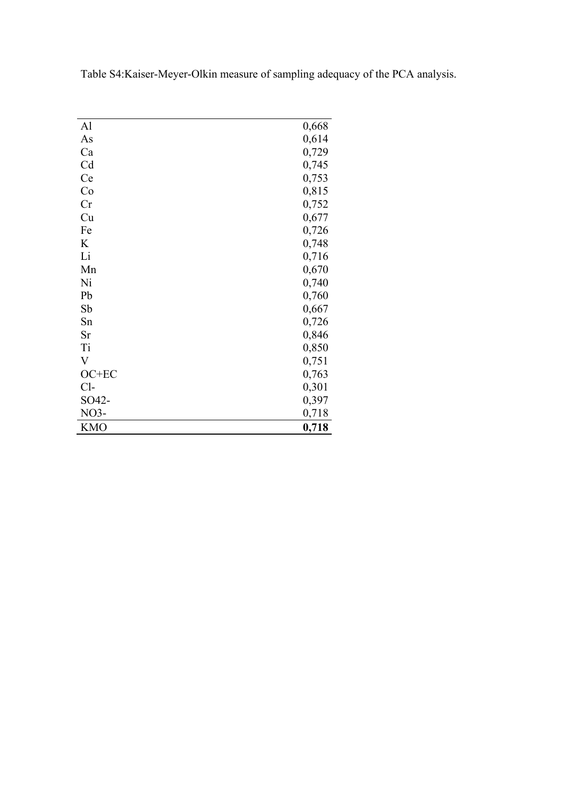| Al         | 0,668 |
|------------|-------|
| As         | 0,614 |
| Ca         | 0,729 |
| Cd         | 0,745 |
| Ce         | 0,753 |
| Co         | 0,815 |
| Cr         | 0,752 |
| Cu         | 0,677 |
| Fe         | 0,726 |
| K          | 0,748 |
| Li         | 0,716 |
| Mn         | 0,670 |
| Ni         | 0,740 |
| Pb         | 0,760 |
| Sb         | 0,667 |
| Sn         | 0,726 |
| Sr         | 0,846 |
| Ti         | 0,850 |
| V          | 0,751 |
| OC+EC      | 0,763 |
| $Cl-$      | 0,301 |
| SO42-      | 0,397 |
| NO3-       | 0,718 |
| <b>KMO</b> | 0,718 |

Table S4:Kaiser-Meyer-Olkin measure of sampling adequacy of the PCA analysis.